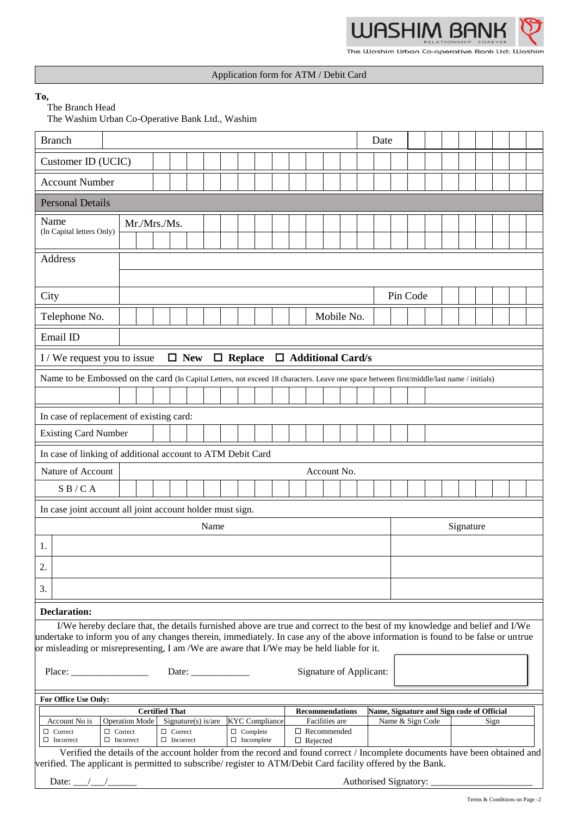

The Washim Urban Co-operative Bank Ltd; Washim

## Application form for ATM / Debit Card

**To,**

The Branch Head

The Washim Urban Co-Operative Bank Ltd., Washim

| <b>Branch</b>                                                                                                                                                   | Date             |              |                  |  |      |  |  |                   |  |                                      |                                                                     |  |            |  |          |                       |                          |  |  |  |  |  |  |  |  |
|-----------------------------------------------------------------------------------------------------------------------------------------------------------------|------------------|--------------|------------------|--|------|--|--|-------------------|--|--------------------------------------|---------------------------------------------------------------------|--|------------|--|----------|-----------------------|--------------------------|--|--|--|--|--|--|--|--|
| Customer ID (UCIC)                                                                                                                                              |                  |              |                  |  |      |  |  |                   |  |                                      |                                                                     |  |            |  |          |                       |                          |  |  |  |  |  |  |  |  |
| <b>Account Number</b>                                                                                                                                           |                  |              |                  |  |      |  |  |                   |  |                                      |                                                                     |  |            |  |          |                       |                          |  |  |  |  |  |  |  |  |
| <b>Personal Details</b>                                                                                                                                         |                  |              |                  |  |      |  |  |                   |  |                                      |                                                                     |  |            |  |          |                       |                          |  |  |  |  |  |  |  |  |
| Name                                                                                                                                                            |                  | Mr./Mrs./Ms. |                  |  |      |  |  |                   |  |                                      |                                                                     |  |            |  |          |                       |                          |  |  |  |  |  |  |  |  |
| (In Capital letters Only)                                                                                                                                       |                  |              |                  |  |      |  |  |                   |  |                                      |                                                                     |  |            |  |          |                       |                          |  |  |  |  |  |  |  |  |
| Address                                                                                                                                                         |                  |              |                  |  |      |  |  |                   |  |                                      |                                                                     |  |            |  |          |                       |                          |  |  |  |  |  |  |  |  |
|                                                                                                                                                                 |                  |              |                  |  |      |  |  |                   |  |                                      |                                                                     |  |            |  |          |                       |                          |  |  |  |  |  |  |  |  |
| City                                                                                                                                                            |                  |              |                  |  |      |  |  |                   |  |                                      |                                                                     |  |            |  | Pin Code |                       |                          |  |  |  |  |  |  |  |  |
| Telephone No.                                                                                                                                                   |                  |              |                  |  |      |  |  |                   |  |                                      |                                                                     |  | Mobile No. |  |          |                       |                          |  |  |  |  |  |  |  |  |
| Email ID                                                                                                                                                        |                  |              |                  |  |      |  |  |                   |  |                                      |                                                                     |  |            |  |          |                       |                          |  |  |  |  |  |  |  |  |
| $\Box$ New<br>□ Additional Card/s<br>$\Box$ Replace<br>I / We request you to issue                                                                              |                  |              |                  |  |      |  |  |                   |  |                                      |                                                                     |  |            |  |          |                       |                          |  |  |  |  |  |  |  |  |
| Name to be Embossed on the card (In Capital Letters, not exceed 18 characters. Leave one space between first/middle/last name / initials)                       |                  |              |                  |  |      |  |  |                   |  |                                      |                                                                     |  |            |  |          |                       |                          |  |  |  |  |  |  |  |  |
|                                                                                                                                                                 |                  |              |                  |  |      |  |  |                   |  |                                      |                                                                     |  |            |  |          |                       |                          |  |  |  |  |  |  |  |  |
| In case of replacement of existing card:                                                                                                                        |                  |              |                  |  |      |  |  |                   |  |                                      |                                                                     |  |            |  |          |                       |                          |  |  |  |  |  |  |  |  |
| <b>Existing Card Number</b>                                                                                                                                     |                  |              |                  |  |      |  |  |                   |  |                                      |                                                                     |  |            |  |          |                       |                          |  |  |  |  |  |  |  |  |
| In case of linking of additional account to ATM Debit Card                                                                                                      |                  |              |                  |  |      |  |  |                   |  |                                      |                                                                     |  |            |  |          |                       |                          |  |  |  |  |  |  |  |  |
| Nature of Account<br>Account No.                                                                                                                                |                  |              |                  |  |      |  |  |                   |  |                                      |                                                                     |  |            |  |          |                       |                          |  |  |  |  |  |  |  |  |
| $S$ B / C A                                                                                                                                                     |                  |              |                  |  |      |  |  |                   |  |                                      |                                                                     |  |            |  |          |                       |                          |  |  |  |  |  |  |  |  |
| In case joint account all joint account holder must sign.                                                                                                       |                  |              |                  |  |      |  |  |                   |  |                                      |                                                                     |  |            |  |          |                       |                          |  |  |  |  |  |  |  |  |
|                                                                                                                                                                 |                  |              |                  |  | Name |  |  |                   |  |                                      |                                                                     |  |            |  |          | Signature             |                          |  |  |  |  |  |  |  |  |
| 1.                                                                                                                                                              |                  |              |                  |  |      |  |  |                   |  |                                      |                                                                     |  |            |  |          |                       |                          |  |  |  |  |  |  |  |  |
| 2.                                                                                                                                                              |                  |              |                  |  |      |  |  |                   |  |                                      |                                                                     |  |            |  |          |                       |                          |  |  |  |  |  |  |  |  |
| 3.                                                                                                                                                              |                  |              |                  |  |      |  |  |                   |  |                                      |                                                                     |  |            |  |          |                       |                          |  |  |  |  |  |  |  |  |
| <b>Declaration:</b>                                                                                                                                             |                  |              |                  |  |      |  |  |                   |  |                                      |                                                                     |  |            |  |          |                       |                          |  |  |  |  |  |  |  |  |
| I/We hereby declare that, the details furnished above are true and correct to the best of my knowledge and belief and I/We                                      |                  |              |                  |  |      |  |  |                   |  |                                      |                                                                     |  |            |  |          |                       |                          |  |  |  |  |  |  |  |  |
| undertake to inform you of any changes therein, immediately. In case any of the above information is found to be false or untrue                                |                  |              |                  |  |      |  |  |                   |  |                                      |                                                                     |  |            |  |          |                       |                          |  |  |  |  |  |  |  |  |
| or misleading or misrepresenting, I am /We are aware that I/We may be held liable for it.                                                                       |                  |              |                  |  |      |  |  |                   |  |                                      |                                                                     |  |            |  |          |                       |                          |  |  |  |  |  |  |  |  |
| Place:<br>Date:                                                                                                                                                 |                  |              |                  |  |      |  |  |                   |  | Signature of Applicant:              |                                                                     |  |            |  |          |                       |                          |  |  |  |  |  |  |  |  |
| For Office Use Only:                                                                                                                                            |                  |              |                  |  |      |  |  |                   |  |                                      |                                                                     |  |            |  |          |                       |                          |  |  |  |  |  |  |  |  |
| <b>Certified That</b>                                                                                                                                           |                  |              |                  |  |      |  |  |                   |  |                                      | Name, Signature and Sign code of Official<br><b>Recommendations</b> |  |            |  |          |                       |                          |  |  |  |  |  |  |  |  |
| Signature(s) is/are<br>Account No is<br><b>Operation Mode</b><br><b>KYC</b> Compliance<br>$\Box$ Correct<br>$\Box$ Correct<br>$\Box$ Complete<br>$\Box$ Correct |                  |              |                  |  |      |  |  |                   |  | Facilities are<br>$\Box$ Recommended |                                                                     |  |            |  |          |                       | Name & Sign Code<br>Sign |  |  |  |  |  |  |  |  |
| $\Box$ Incorrect                                                                                                                                                | $\Box$ Incorrect |              | $\Box$ Incorrect |  |      |  |  | $\Box$ Incomplete |  |                                      | $\Box$ Rejected                                                     |  |            |  |          |                       |                          |  |  |  |  |  |  |  |  |
| Verified the details of the account holder from the record and found correct / Incomplete documents have been obtained and                                      |                  |              |                  |  |      |  |  |                   |  |                                      |                                                                     |  |            |  |          |                       |                          |  |  |  |  |  |  |  |  |
| verified. The applicant is permitted to subscribe/ register to ATM/Debit Card facility offered by the Bank.                                                     |                  |              |                  |  |      |  |  |                   |  |                                      |                                                                     |  |            |  |          |                       |                          |  |  |  |  |  |  |  |  |
| Date:                                                                                                                                                           |                  |              |                  |  |      |  |  |                   |  |                                      |                                                                     |  |            |  |          | Authorised Signatory: |                          |  |  |  |  |  |  |  |  |